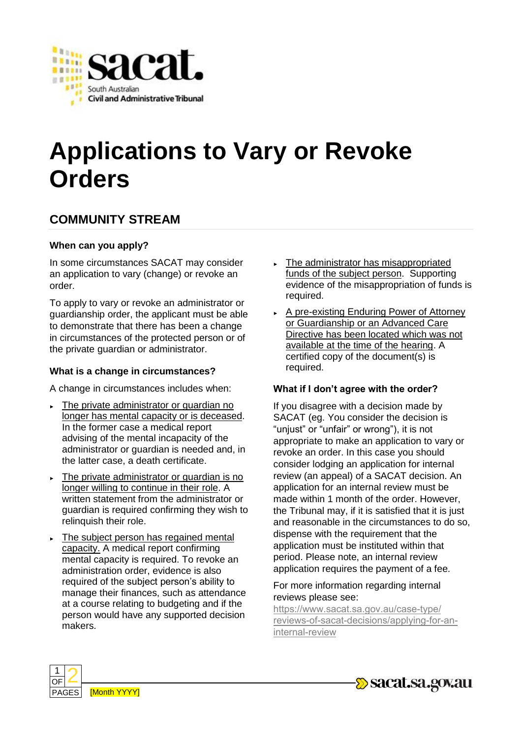

# **Applications to Vary or Revoke Orders**

## **COMMUNITY STREAM**

#### **When can you apply?**

In some circumstances SACAT may consider an application to vary (change) or revoke an order.

To apply to vary or revoke an administrator or guardianship order, the applicant must be able to demonstrate that there has been a change in circumstances of the protected person or of the private guardian or administrator.

#### **What is a change in circumstances?**

A change in circumstances includes when:

- ► The private administrator or guardian no longer has mental capacity or is deceased. In the former case a medical report advising of the mental incapacity of the administrator or guardian is needed and, in the latter case, a death certificate.
- The private administrator or guardian is no longer willing to continue in their role. A written statement from the administrator or guardian is required confirming they wish to relinquish their role.
- ► The subject person has regained mental capacity. A medical report confirming mental capacity is required. To revoke an administration order, evidence is also required of the subject person's ability to manage their finances, such as attendance at a course relating to budgeting and if the person would have any supported decision makers.
- ► The administrator has misappropriated funds of the subject person. Supporting evidence of the misappropriation of funds is required.
- ► A pre-existing Enduring Power of Attorney or Guardianship or an Advanced Care Directive has been located which was not available at the time of the hearing. A certified copy of the document(s) is required.

#### **What if I don't agree with the order?**

If you disagree with a decision made by SACAT (eg. You consider the decision is "unjust" or "unfair" or wrong"), it is not appropriate to make an application to vary or revoke an order. In this case you should consider lodging an application for internal review (an appeal) of a SACAT decision. An application for an internal review must be made within 1 month of the order. However, the Tribunal may, if it is satisfied that it is just and reasonable in the circumstances to do so, dispense with the requirement that the application must be instituted within that period. Please note, an internal review application requires the payment of a fee.

#### For more information regarding internal reviews please see:

https://www.sacat.sa.gov.au/case-type/ [reviews-of-sacat-decisions/applying-for-an](https://www.sacat.sa.gov.au/case-type/reviews-of-sacat-decisions/applying-for-an-internal-review)internal-review